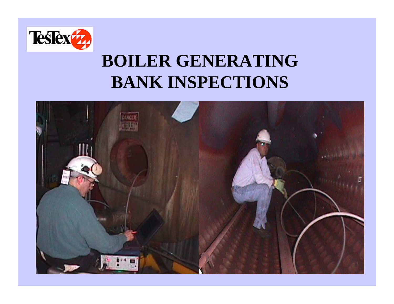

## **BOILER GENERATING BANK INSPECTIONS**

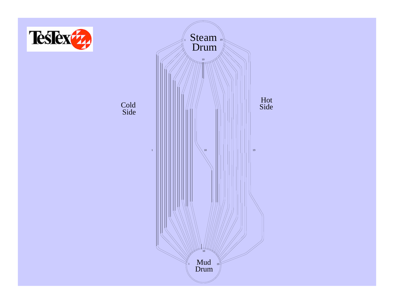

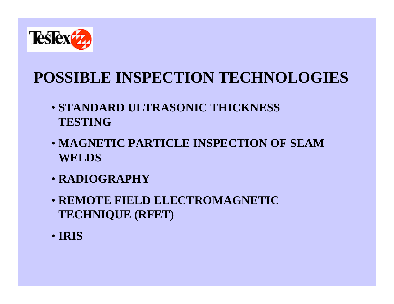

### **POSSIBLE INSPECTION TECHNOLOGIES**

- **STANDARD ULTRASONIC THICKNESS TESTING**
- **MAGNETIC PARTICLE INSPECTION OF SEAM WELDS**
- **RADIOGRAPHY**
- **REMOTE FIELD ELECTROMAGNETIC TECHNIQUE (RFET)**
- **IRIS**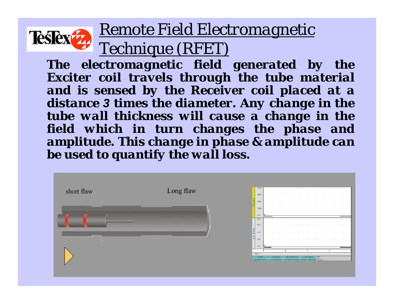

### *Remote Field Electromagnetic Technique (RFET)*

*The electromagnetic field generated by the Exciter coil travels through the tube material and is sensed by the Receiver coil placed at a distance 3 times the diameter. Any change in the tube wall thickness will cause a change in the field which in turn changes the phase and amplitude. This change in phase & amplitude can be used to quantify the wall loss.*

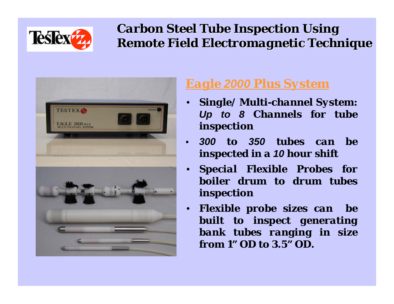

### *Carbon Steel Tube Inspection Using Carbon Steel Tube Inspection Using Remote Field Electromagnetic Technique Remote Field Electromagnetic Technique*



### *Eagle 2000 Plus System*

- *Single/ Multi-channel System: Up to 8 Channels for tube inspection*
- *300 to 350 tubes can be inspected in a 10 hour shift*
- *Special Flexible Probes for boiler drum to drum tubes inspection*
- *Flexible probe sizes can be built to inspect generating bank tubes ranging in size from 1" OD to 3.5" OD.*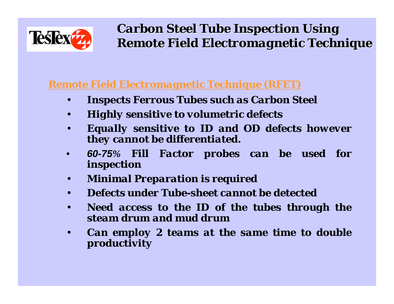

*Carbon Steel Tube Inspection Using Carbon Steel Tube Inspection Using Remote Field Electromagnetic Technique Remote Field Electromagnetic Technique*

#### *Remote Field Electromagnetic Technique (RFET)*

- *Inspects Ferrous Tubes such as Carbon Steel*
- *Highly sensitive to volumetric defects*
- *Equally sensitive to ID and OD defects however they cannot be differentiated.*
- *60-75% Fill Factor probes can be used for inspection*
- *Minimal Preparation is required*
- *Defects under Tube-sheet cannot be detected*
- *Need access to the ID of the tubes through the steam drum and mud drum*
- *Can employ 2 teams at the same time to double productivity*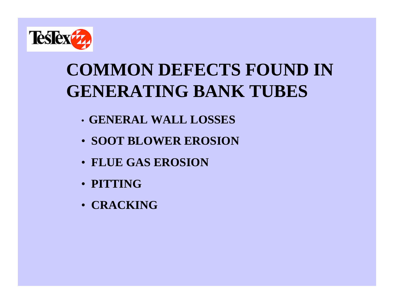

# **COMMON DEFECTS FOUND IN GENERATING BANK TUBES**

- **GENERAL WALL LOSSES**
- **SOOT BLOWER EROSION**
- **FLUE GAS EROSION**
- **PITTING**
- **CRACKING**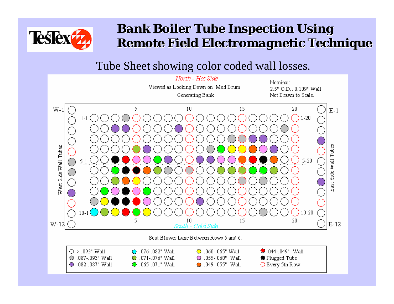

### *Bank Boiler Tube Inspection Using Bank Boiler Tube Inspection Using Remote Field Electromagnetic Technique Remote Field Electromagnetic Technique*

#### Tube Sheet showing color coded wall losses.

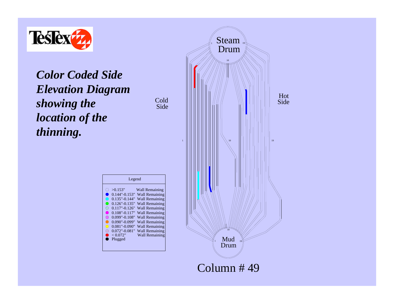

*Color Coded Side Elevation Diagram showing the location of the thinning.*



 $\frac{1}{1}$  Steam  $\frac{1}{19}$ 

Drum

Hot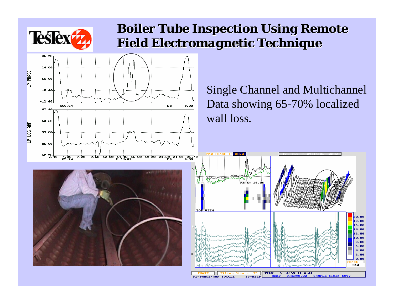

### *Boiler Tube Inspection Using Remote Boiler Tube Inspection Using Remote Field Electromagnetic Technique Field Electromagnetic Technique*

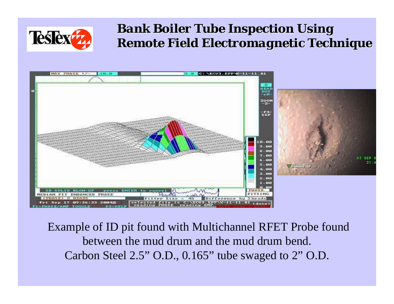

### *Bank Boiler Tube Inspection Using Bank Boiler Tube Inspection Using Remote Field Electromagnetic Technique Remote Field Electromagnetic Technique*



Example of ID pit found with Multichannel RFET Probe found between the mud drum and the mud drum bend. Carbon Steel 2.5" O.D., 0.165" tube swaged to 2" O.D.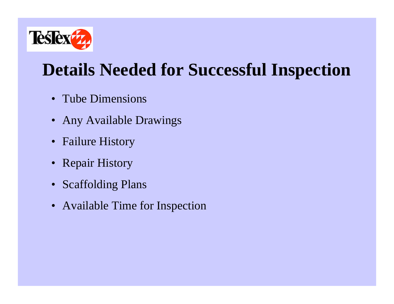

## **Details Needed for Successful Inspection**

- Tube Dimensions
- Any Available Drawings
- Failure History
- Repair History
- Scaffolding Plans
- Available Time for Inspection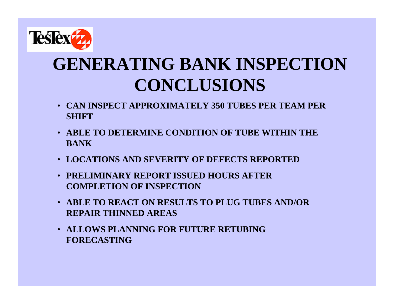

# **GENERATING BANK INSPECTION CONCLUSIONS**

- **CAN INSPECT APPROXIMATELY 350 TUBES PER TEAM PER SHIFT**
- **ABLE TO DETERMINE CONDITION OF TUBE WITHIN THE BANK**
- **LOCATIONS AND SEVERITY OF DEFECTS REPORTED**
- **PRELIMINARY REPORT ISSUED HOURS AFTER COMPLETION OF INSPECTION**
- **ABLE TO REACT ON RESULTS TO PLUG TUBES AND/OR REPAIR THINNED AREAS**
- **ALLOWS PLANNING FOR FUTURE RETUBING FORECASTING**